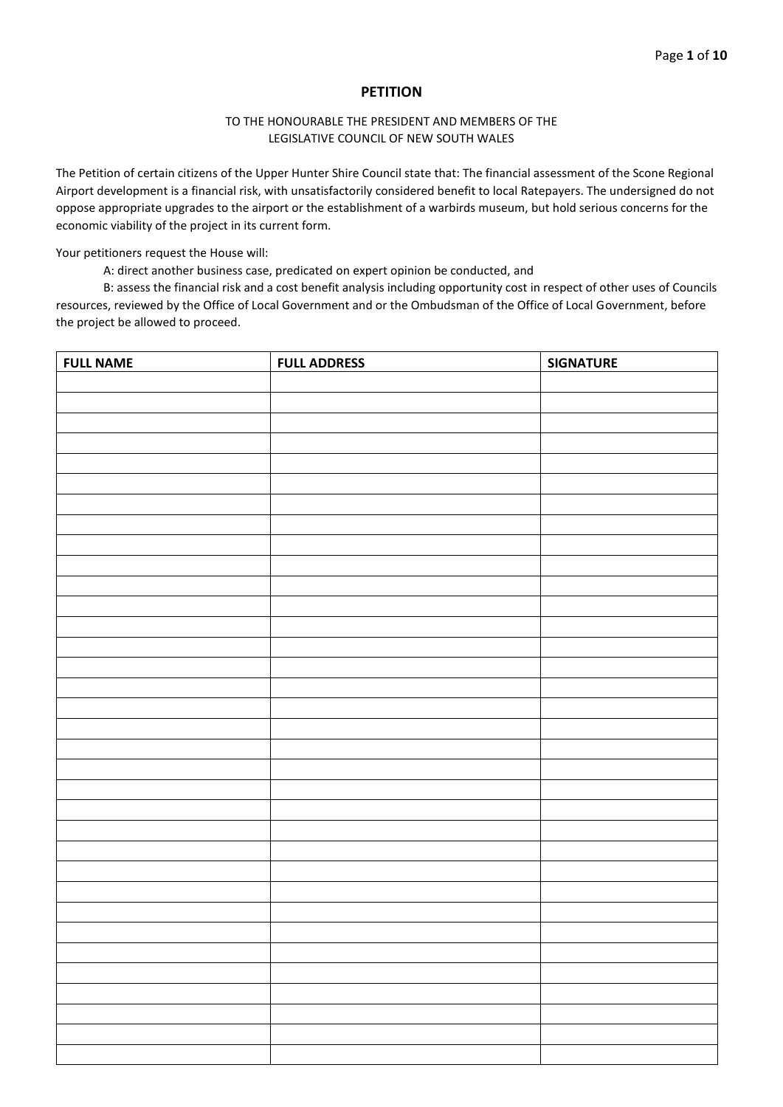## **PETITION**

## TO THE HONOURABLE THE PRESIDENT AND MEMBERS OF THE LEGISLATIVE COUNCIL OF NEW SOUTH WALES

The Petition of certain citizens of the Upper Hunter Shire Council state that: The financial assessment of the Scone Regional Airport development is a financial risk, with unsatisfactorily considered benefit to local Ratepayers. The undersigned do not oppose appropriate upgrades to the airport or the establishment of a warbirds museum, but hold serious concerns for the economic viability of the project in its current form.

Your petitioners request the House will:

A: direct another business case, predicated on expert opinion be conducted, and

| <b>FULL NAME</b> | <b>FULL ADDRESS</b> | <b>SIGNATURE</b> |
|------------------|---------------------|------------------|
|                  |                     |                  |
|                  |                     |                  |
|                  |                     |                  |
|                  |                     |                  |
|                  |                     |                  |
|                  |                     |                  |
|                  |                     |                  |
|                  |                     |                  |
|                  |                     |                  |
|                  |                     |                  |
|                  |                     |                  |
|                  |                     |                  |
|                  |                     |                  |
|                  |                     |                  |
|                  |                     |                  |
|                  |                     |                  |
|                  |                     |                  |
|                  |                     |                  |
|                  |                     |                  |
|                  |                     |                  |
|                  |                     |                  |
|                  |                     |                  |
|                  |                     |                  |
|                  |                     |                  |
|                  |                     |                  |
|                  |                     |                  |
|                  |                     |                  |
|                  |                     |                  |
|                  |                     |                  |
|                  |                     |                  |
|                  |                     |                  |
|                  |                     |                  |
|                  |                     |                  |
|                  |                     |                  |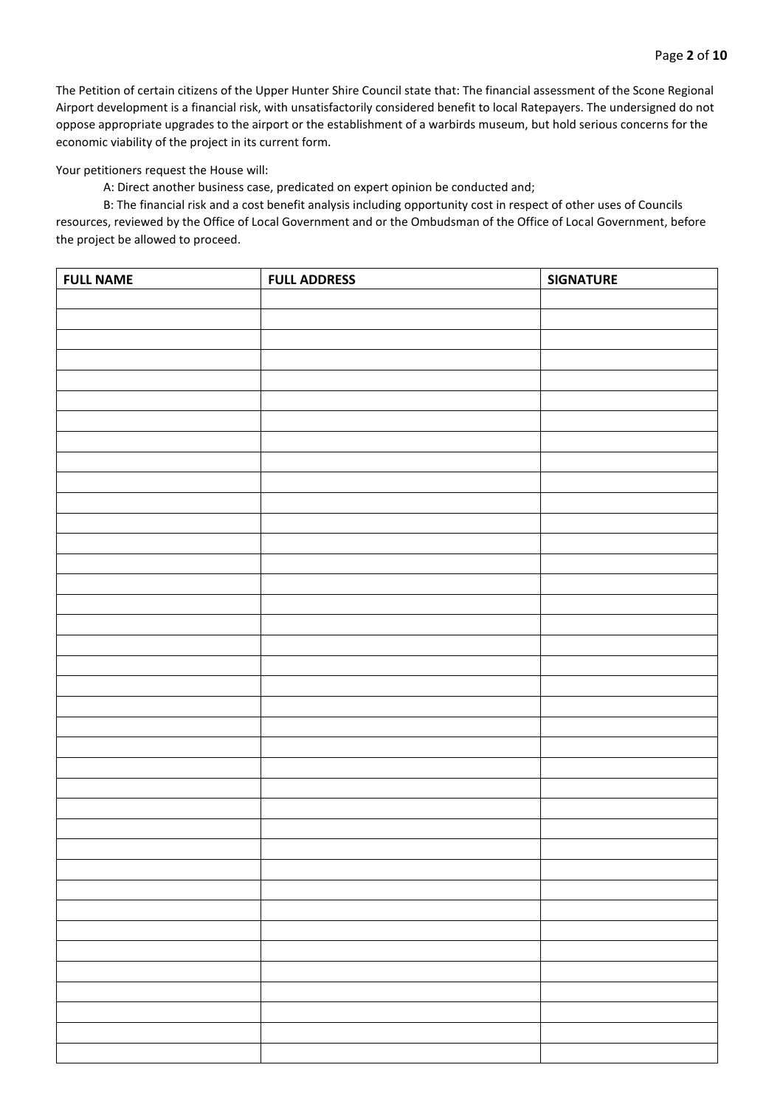Your petitioners request the House will:

A: Direct another business case, predicated on expert opinion be conducted and;

| <b>FULL NAME</b> | <b>FULL ADDRESS</b> | <b>SIGNATURE</b> |
|------------------|---------------------|------------------|
|                  |                     |                  |
|                  |                     |                  |
|                  |                     |                  |
|                  |                     |                  |
|                  |                     |                  |
|                  |                     |                  |
|                  |                     |                  |
|                  |                     |                  |
|                  |                     |                  |
|                  |                     |                  |
|                  |                     |                  |
|                  |                     |                  |
|                  |                     |                  |
|                  |                     |                  |
|                  |                     |                  |
|                  |                     |                  |
|                  |                     |                  |
|                  |                     |                  |
|                  |                     |                  |
|                  |                     |                  |
|                  |                     |                  |
|                  |                     |                  |
|                  |                     |                  |
|                  |                     |                  |
|                  |                     |                  |
|                  |                     |                  |
|                  |                     |                  |
|                  |                     |                  |
|                  |                     |                  |
|                  |                     |                  |
|                  |                     |                  |
|                  |                     |                  |
|                  |                     |                  |
|                  |                     |                  |
|                  |                     |                  |
|                  |                     |                  |
|                  |                     |                  |
|                  |                     |                  |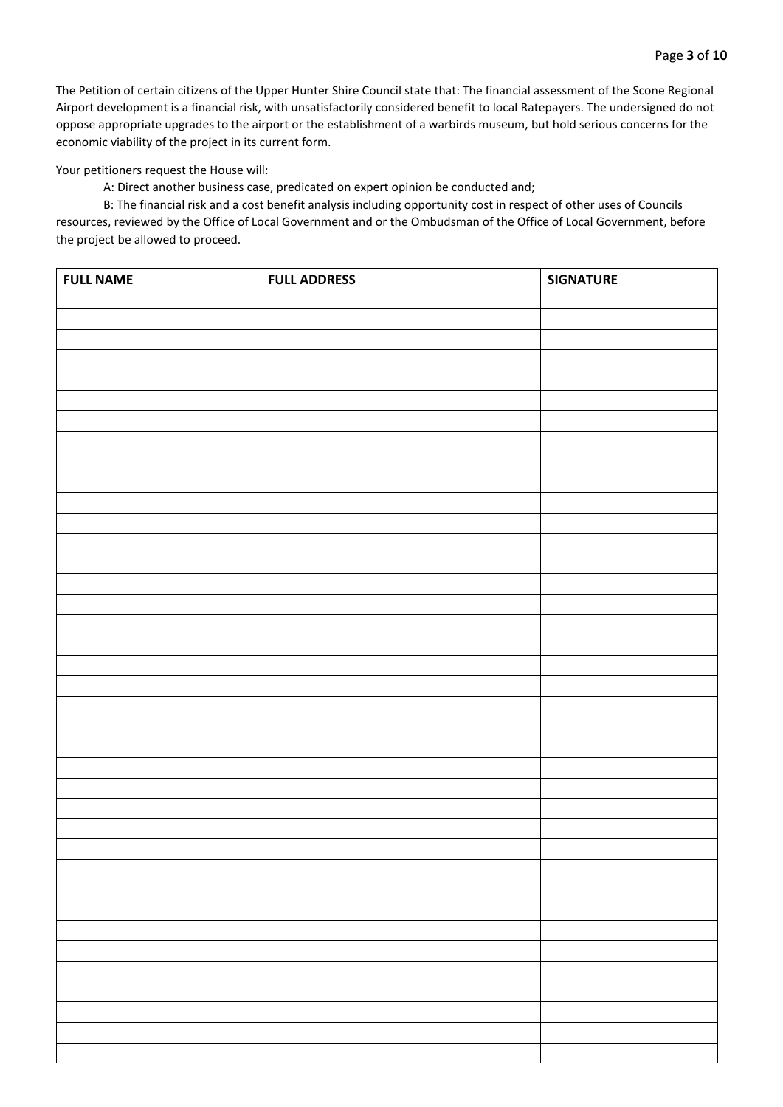Your petitioners request the House will:

A: Direct another business case, predicated on expert opinion be conducted and;

| <b>FULL NAME</b> | <b>FULL ADDRESS</b> | <b>SIGNATURE</b> |
|------------------|---------------------|------------------|
|                  |                     |                  |
|                  |                     |                  |
|                  |                     |                  |
|                  |                     |                  |
|                  |                     |                  |
|                  |                     |                  |
|                  |                     |                  |
|                  |                     |                  |
|                  |                     |                  |
|                  |                     |                  |
|                  |                     |                  |
|                  |                     |                  |
|                  |                     |                  |
|                  |                     |                  |
|                  |                     |                  |
|                  |                     |                  |
|                  |                     |                  |
|                  |                     |                  |
|                  |                     |                  |
|                  |                     |                  |
|                  |                     |                  |
|                  |                     |                  |
|                  |                     |                  |
|                  |                     |                  |
|                  |                     |                  |
|                  |                     |                  |
|                  |                     |                  |
|                  |                     |                  |
|                  |                     |                  |
|                  |                     |                  |
|                  |                     |                  |
|                  |                     |                  |
|                  |                     |                  |
|                  |                     |                  |
|                  |                     |                  |
|                  |                     |                  |
|                  |                     |                  |
|                  |                     |                  |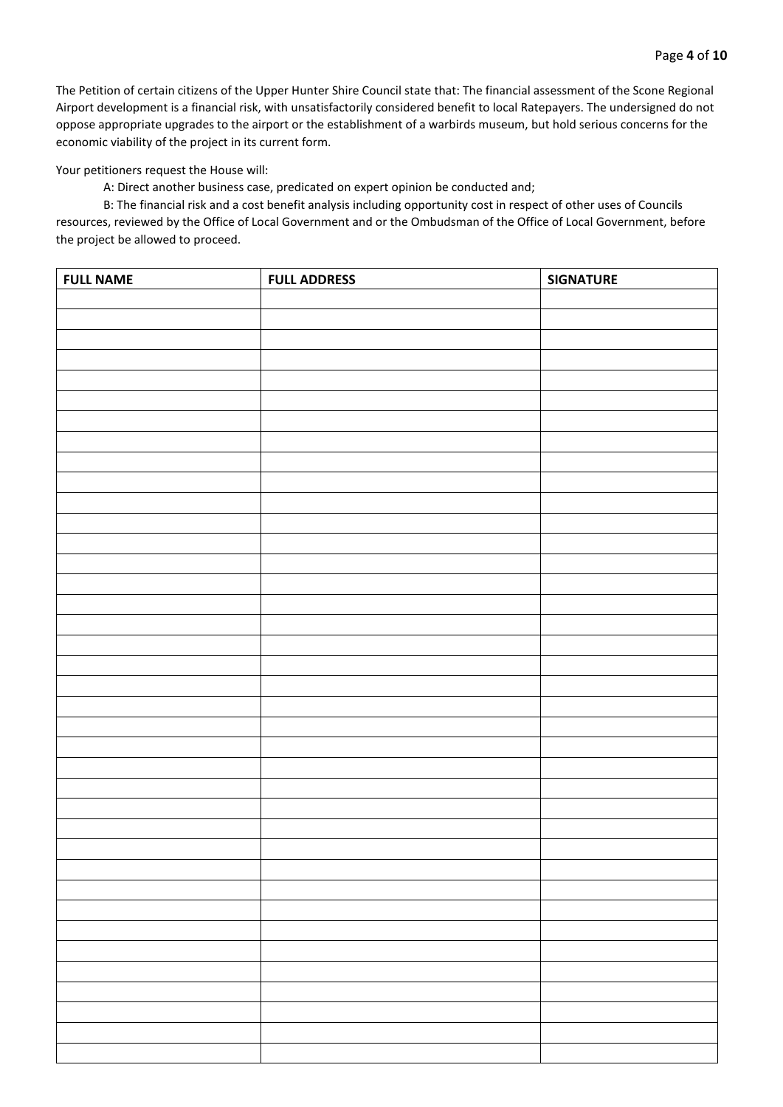Your petitioners request the House will:

A: Direct another business case, predicated on expert opinion be conducted and;

| <b>FULL NAME</b> | <b>FULL ADDRESS</b> | <b>SIGNATURE</b> |
|------------------|---------------------|------------------|
|                  |                     |                  |
|                  |                     |                  |
|                  |                     |                  |
|                  |                     |                  |
|                  |                     |                  |
|                  |                     |                  |
|                  |                     |                  |
|                  |                     |                  |
|                  |                     |                  |
|                  |                     |                  |
|                  |                     |                  |
|                  |                     |                  |
|                  |                     |                  |
|                  |                     |                  |
|                  |                     |                  |
|                  |                     |                  |
|                  |                     |                  |
|                  |                     |                  |
|                  |                     |                  |
|                  |                     |                  |
|                  |                     |                  |
|                  |                     |                  |
|                  |                     |                  |
|                  |                     |                  |
|                  |                     |                  |
|                  |                     |                  |
|                  |                     |                  |
|                  |                     |                  |
|                  |                     |                  |
|                  |                     |                  |
|                  |                     |                  |
|                  |                     |                  |
|                  |                     |                  |
|                  |                     |                  |
|                  |                     |                  |
|                  |                     |                  |
|                  |                     |                  |
|                  |                     |                  |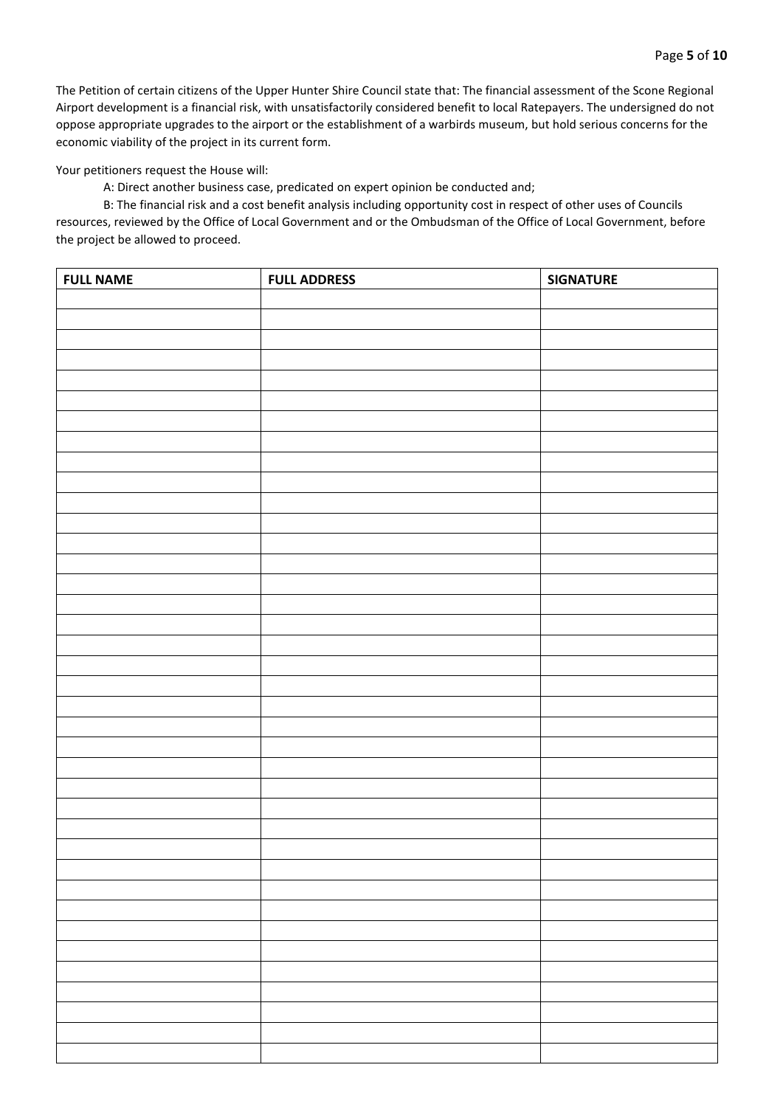Your petitioners request the House will:

A: Direct another business case, predicated on expert opinion be conducted and;

| <b>FULL NAME</b> | <b>FULL ADDRESS</b> | <b>SIGNATURE</b> |
|------------------|---------------------|------------------|
|                  |                     |                  |
|                  |                     |                  |
|                  |                     |                  |
|                  |                     |                  |
|                  |                     |                  |
|                  |                     |                  |
|                  |                     |                  |
|                  |                     |                  |
|                  |                     |                  |
|                  |                     |                  |
|                  |                     |                  |
|                  |                     |                  |
|                  |                     |                  |
|                  |                     |                  |
|                  |                     |                  |
|                  |                     |                  |
|                  |                     |                  |
|                  |                     |                  |
|                  |                     |                  |
|                  |                     |                  |
|                  |                     |                  |
|                  |                     |                  |
|                  |                     |                  |
|                  |                     |                  |
|                  |                     |                  |
|                  |                     |                  |
|                  |                     |                  |
|                  |                     |                  |
|                  |                     |                  |
|                  |                     |                  |
|                  |                     |                  |
|                  |                     |                  |
|                  |                     |                  |
|                  |                     |                  |
|                  |                     |                  |
|                  |                     |                  |
|                  |                     |                  |
|                  |                     |                  |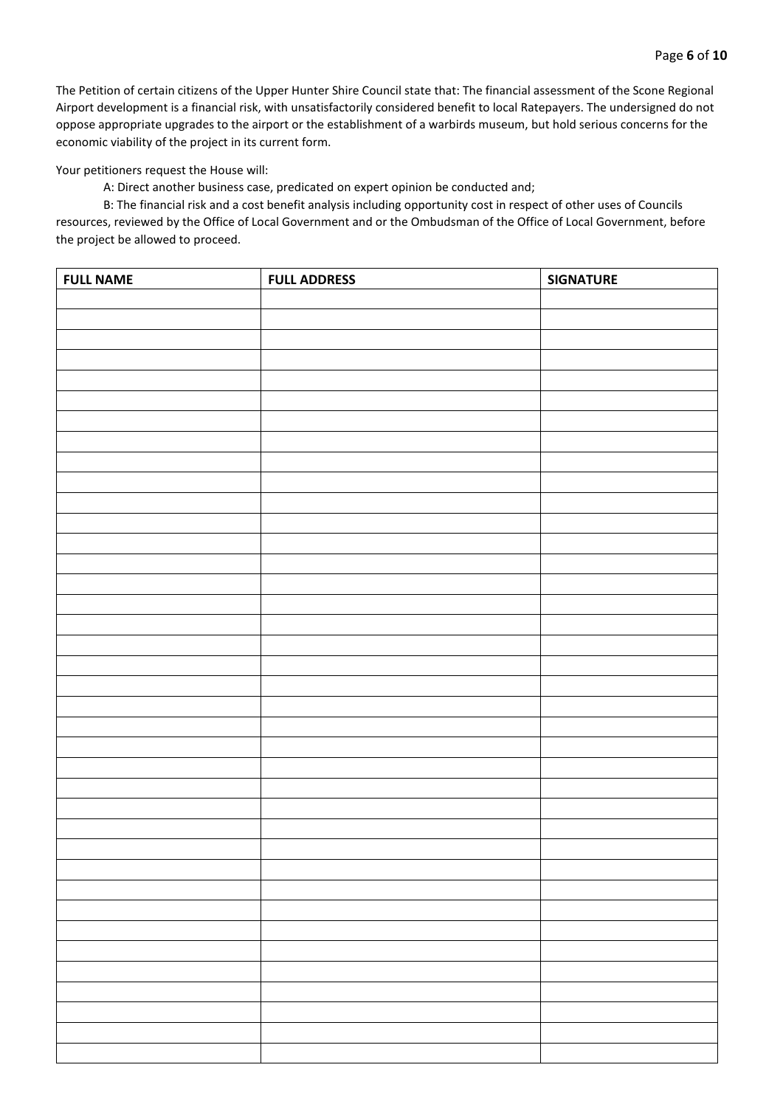Your petitioners request the House will:

A: Direct another business case, predicated on expert opinion be conducted and;

| <b>FULL NAME</b> | <b>FULL ADDRESS</b> | <b>SIGNATURE</b> |
|------------------|---------------------|------------------|
|                  |                     |                  |
|                  |                     |                  |
|                  |                     |                  |
|                  |                     |                  |
|                  |                     |                  |
|                  |                     |                  |
|                  |                     |                  |
|                  |                     |                  |
|                  |                     |                  |
|                  |                     |                  |
|                  |                     |                  |
|                  |                     |                  |
|                  |                     |                  |
|                  |                     |                  |
|                  |                     |                  |
|                  |                     |                  |
|                  |                     |                  |
|                  |                     |                  |
|                  |                     |                  |
|                  |                     |                  |
|                  |                     |                  |
|                  |                     |                  |
|                  |                     |                  |
|                  |                     |                  |
|                  |                     |                  |
|                  |                     |                  |
|                  |                     |                  |
|                  |                     |                  |
|                  |                     |                  |
|                  |                     |                  |
|                  |                     |                  |
|                  |                     |                  |
|                  |                     |                  |
|                  |                     |                  |
|                  |                     |                  |
|                  |                     |                  |
|                  |                     |                  |
|                  |                     |                  |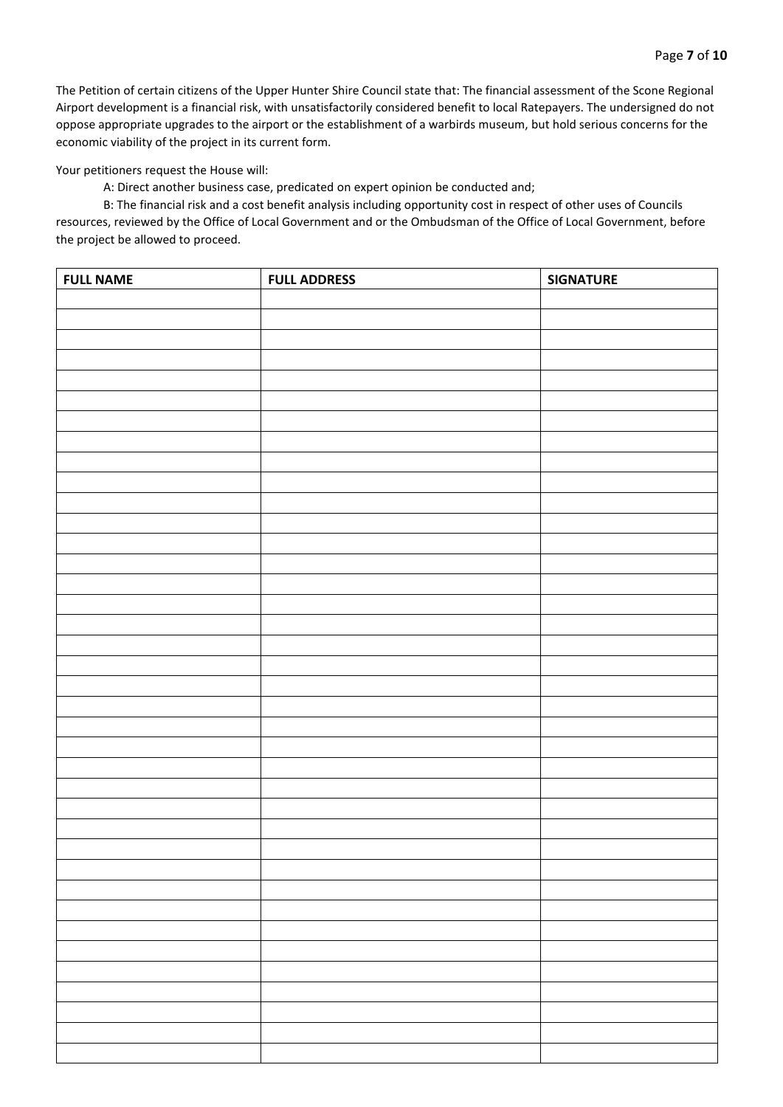Your petitioners request the House will:

A: Direct another business case, predicated on expert opinion be conducted and;

| <b>FULL NAME</b> | <b>FULL ADDRESS</b> | <b>SIGNATURE</b> |
|------------------|---------------------|------------------|
|                  |                     |                  |
|                  |                     |                  |
|                  |                     |                  |
|                  |                     |                  |
|                  |                     |                  |
|                  |                     |                  |
|                  |                     |                  |
|                  |                     |                  |
|                  |                     |                  |
|                  |                     |                  |
|                  |                     |                  |
|                  |                     |                  |
|                  |                     |                  |
|                  |                     |                  |
|                  |                     |                  |
|                  |                     |                  |
|                  |                     |                  |
|                  |                     |                  |
|                  |                     |                  |
|                  |                     |                  |
|                  |                     |                  |
|                  |                     |                  |
|                  |                     |                  |
|                  |                     |                  |
|                  |                     |                  |
|                  |                     |                  |
|                  |                     |                  |
|                  |                     |                  |
|                  |                     |                  |
|                  |                     |                  |
|                  |                     |                  |
|                  |                     |                  |
|                  |                     |                  |
|                  |                     |                  |
|                  |                     |                  |
|                  |                     |                  |
|                  |                     |                  |
|                  |                     |                  |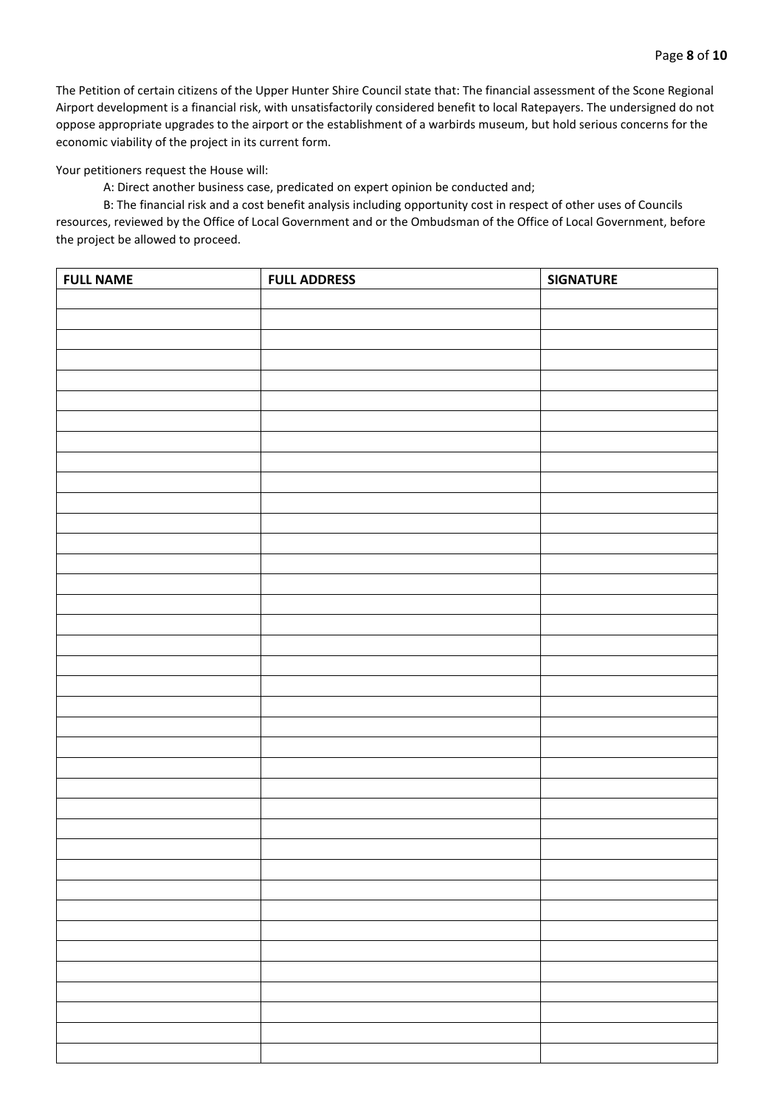Your petitioners request the House will:

A: Direct another business case, predicated on expert opinion be conducted and;

| <b>FULL NAME</b> | <b>FULL ADDRESS</b> | <b>SIGNATURE</b> |
|------------------|---------------------|------------------|
|                  |                     |                  |
|                  |                     |                  |
|                  |                     |                  |
|                  |                     |                  |
|                  |                     |                  |
|                  |                     |                  |
|                  |                     |                  |
|                  |                     |                  |
|                  |                     |                  |
|                  |                     |                  |
|                  |                     |                  |
|                  |                     |                  |
|                  |                     |                  |
|                  |                     |                  |
|                  |                     |                  |
|                  |                     |                  |
|                  |                     |                  |
|                  |                     |                  |
|                  |                     |                  |
|                  |                     |                  |
|                  |                     |                  |
|                  |                     |                  |
|                  |                     |                  |
|                  |                     |                  |
|                  |                     |                  |
|                  |                     |                  |
|                  |                     |                  |
|                  |                     |                  |
|                  |                     |                  |
|                  |                     |                  |
|                  |                     |                  |
|                  |                     |                  |
|                  |                     |                  |
|                  |                     |                  |
|                  |                     |                  |
|                  |                     |                  |
|                  |                     |                  |
|                  |                     |                  |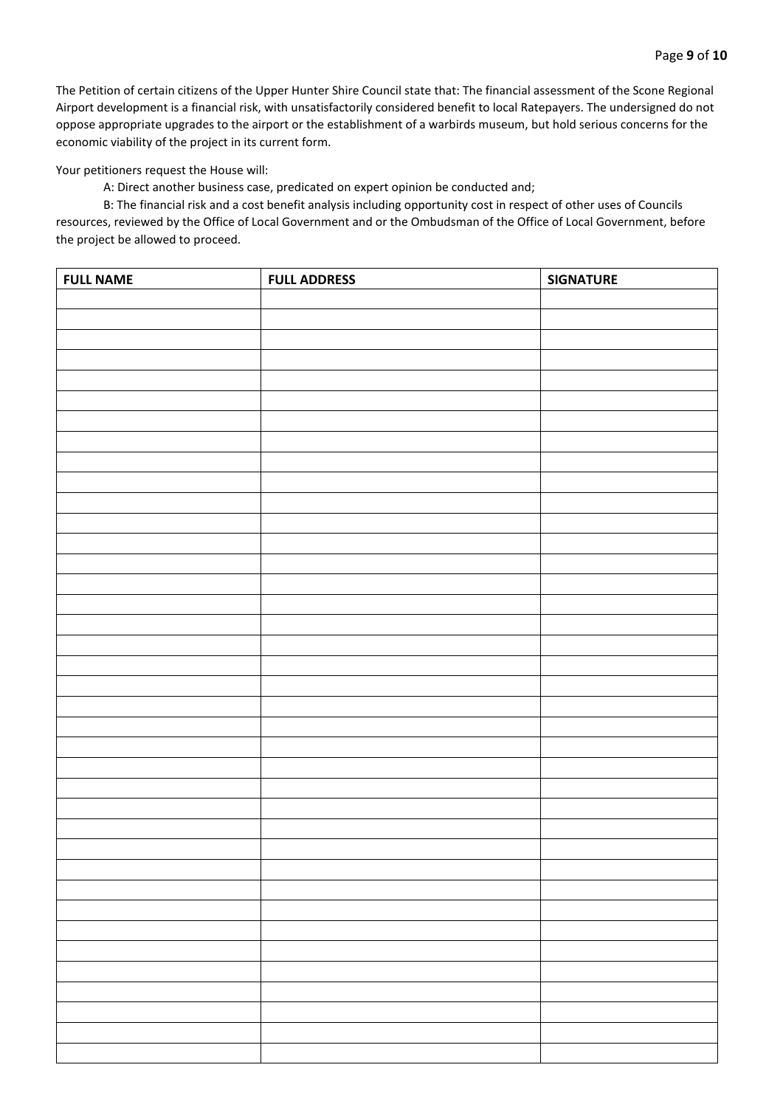Your petitioners request the House will:

A: Direct another business case, predicated on expert opinion be conducted and;

| <b>FULL NAME</b> | <b>FULL ADDRESS</b> | <b>SIGNATURE</b> |
|------------------|---------------------|------------------|
|                  |                     |                  |
|                  |                     |                  |
|                  |                     |                  |
|                  |                     |                  |
|                  |                     |                  |
|                  |                     |                  |
|                  |                     |                  |
|                  |                     |                  |
|                  |                     |                  |
|                  |                     |                  |
|                  |                     |                  |
|                  |                     |                  |
|                  |                     |                  |
|                  |                     |                  |
|                  |                     |                  |
|                  |                     |                  |
|                  |                     |                  |
|                  |                     |                  |
|                  |                     |                  |
|                  |                     |                  |
|                  |                     |                  |
|                  |                     |                  |
|                  |                     |                  |
|                  |                     |                  |
|                  |                     |                  |
|                  |                     |                  |
|                  |                     |                  |
|                  |                     |                  |
|                  |                     |                  |
|                  |                     |                  |
|                  |                     |                  |
|                  |                     |                  |
|                  |                     |                  |
|                  |                     |                  |
|                  |                     |                  |
|                  |                     |                  |
|                  |                     |                  |
|                  |                     |                  |